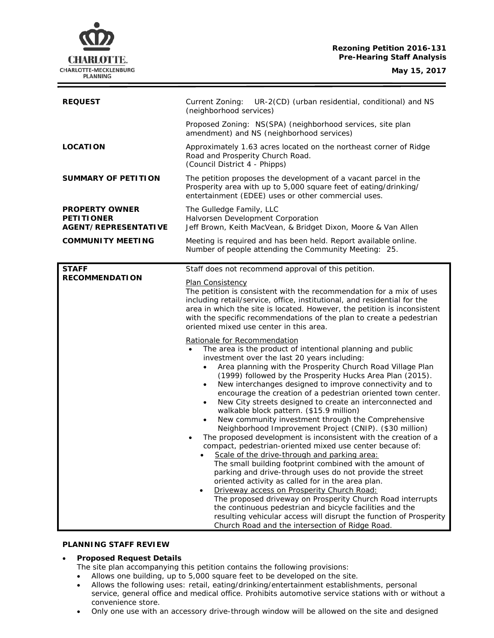# **Rezoning Petition 2016-131 Pre-Hearing Staff Analysis**

| <b>REQUEST</b>                                                            | UR-2(CD) (urban residential, conditional) and NS<br>Current Zoning:                                                                                                                                                                                                                                                                                                                                                                                                                                                                                                                                                                                                                                                                                                                                                                                                                                                                                                                                                                                                                                                                                                                                                                                                                                                                                             |
|---------------------------------------------------------------------------|-----------------------------------------------------------------------------------------------------------------------------------------------------------------------------------------------------------------------------------------------------------------------------------------------------------------------------------------------------------------------------------------------------------------------------------------------------------------------------------------------------------------------------------------------------------------------------------------------------------------------------------------------------------------------------------------------------------------------------------------------------------------------------------------------------------------------------------------------------------------------------------------------------------------------------------------------------------------------------------------------------------------------------------------------------------------------------------------------------------------------------------------------------------------------------------------------------------------------------------------------------------------------------------------------------------------------------------------------------------------|
|                                                                           | (neighborhood services)                                                                                                                                                                                                                                                                                                                                                                                                                                                                                                                                                                                                                                                                                                                                                                                                                                                                                                                                                                                                                                                                                                                                                                                                                                                                                                                                         |
|                                                                           | Proposed Zoning: NS(SPA) (neighborhood services, site plan<br>amendment) and NS (neighborhood services)                                                                                                                                                                                                                                                                                                                                                                                                                                                                                                                                                                                                                                                                                                                                                                                                                                                                                                                                                                                                                                                                                                                                                                                                                                                         |
| <b>LOCATION</b>                                                           | Approximately 1.63 acres located on the northeast corner of Ridge<br>Road and Prosperity Church Road.<br>(Council District 4 - Phipps)                                                                                                                                                                                                                                                                                                                                                                                                                                                                                                                                                                                                                                                                                                                                                                                                                                                                                                                                                                                                                                                                                                                                                                                                                          |
| SUMMARY OF PETITION                                                       | The petition proposes the development of a vacant parcel in the<br>Prosperity area with up to 5,000 square feet of eating/drinking/<br>entertainment (EDEE) uses or other commercial uses.                                                                                                                                                                                                                                                                                                                                                                                                                                                                                                                                                                                                                                                                                                                                                                                                                                                                                                                                                                                                                                                                                                                                                                      |
| <b>PROPERTY OWNER</b><br><b>PETITIONER</b><br><b>AGENT/REPRESENTATIVE</b> | The Gulledge Family, LLC<br>Halvorsen Development Corporation<br>Jeff Brown, Keith MacVean, & Bridget Dixon, Moore & Van Allen                                                                                                                                                                                                                                                                                                                                                                                                                                                                                                                                                                                                                                                                                                                                                                                                                                                                                                                                                                                                                                                                                                                                                                                                                                  |
| <b>COMMUNITY MEETING</b>                                                  | Meeting is required and has been held. Report available online.<br>Number of people attending the Community Meeting: 25.                                                                                                                                                                                                                                                                                                                                                                                                                                                                                                                                                                                                                                                                                                                                                                                                                                                                                                                                                                                                                                                                                                                                                                                                                                        |
| <b>STAFF</b><br><b>RECOMMENDATION</b>                                     | Staff does not recommend approval of this petition.                                                                                                                                                                                                                                                                                                                                                                                                                                                                                                                                                                                                                                                                                                                                                                                                                                                                                                                                                                                                                                                                                                                                                                                                                                                                                                             |
|                                                                           | Plan Consistency<br>The petition is consistent with the recommendation for a mix of uses<br>including retail/service, office, institutional, and residential for the<br>area in which the site is located. However, the petition is inconsistent<br>with the specific recommendations of the plan to create a pedestrian<br>oriented mixed use center in this area.                                                                                                                                                                                                                                                                                                                                                                                                                                                                                                                                                                                                                                                                                                                                                                                                                                                                                                                                                                                             |
|                                                                           | Rationale for Recommendation<br>The area is the product of intentional planning and public<br>$\bullet$<br>investment over the last 20 years including:<br>Area planning with the Prosperity Church Road Village Plan<br>(1999) followed by the Prosperity Hucks Area Plan (2015).<br>New interchanges designed to improve connectivity and to<br>$\bullet$<br>encourage the creation of a pedestrian oriented town center.<br>New City streets designed to create an interconnected and<br>$\bullet$<br>walkable block pattern. (\$15.9 million)<br>New community investment through the Comprehensive<br>$\bullet$<br>Neighborhood Improvement Project (CNIP). (\$30 million)<br>The proposed development is inconsistent with the creation of a<br>٠<br>compact, pedestrian-oriented mixed use center because of:<br>Scale of the drive-through and parking area:<br>The small building footprint combined with the amount of<br>parking and drive-through uses do not provide the street<br>oriented activity as called for in the area plan.<br>Driveway access on Prosperity Church Road:<br>$\bullet$<br>The proposed driveway on Prosperity Church Road interrupts<br>the continuous pedestrian and bicycle facilities and the<br>resulting vehicular access will disrupt the function of Prosperity<br>Church Road and the intersection of Ridge Road. |

# **PLANNING STAFF REVIEW**

# • **Proposed Request Details**

- The site plan accompanying this petition contains the following provisions:
- Allows one building, up to 5,000 square feet to be developed on the site.
- Allows the following uses: retail, eating/drinking/entertainment establishments, personal service, general office and medical office. Prohibits automotive service stations with or without a convenience store.
- Only one use with an accessory drive-through window will be allowed on the site and designed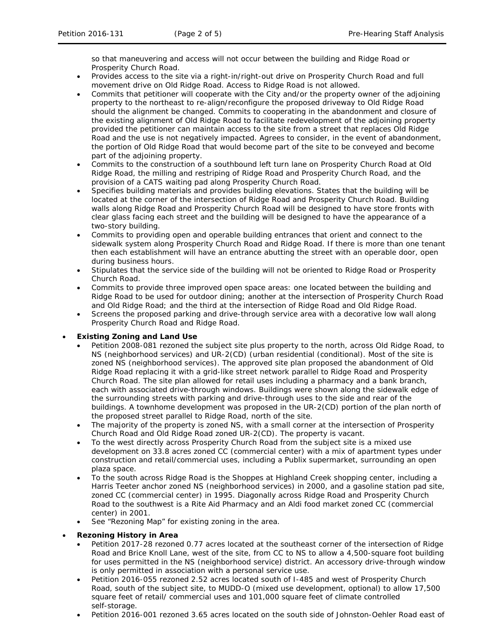so that maneuvering and access will not occur between the building and Ridge Road or Prosperity Church Road.

- Provides access to the site via a right-in/right-out drive on Prosperity Church Road and full movement drive on Old Ridge Road. Access to Ridge Road is not allowed.
- Commits that petitioner will cooperate with the City and/or the property owner of the adjoining property to the northeast to re-align/reconfigure the proposed driveway to Old Ridge Road should the alignment be changed. Commits to cooperating in the abandonment and closure of the existing alignment of Old Ridge Road to facilitate redevelopment of the adjoining property provided the petitioner can maintain access to the site from a street that replaces Old Ridge Road and the use is not negatively impacted. Agrees to consider, in the event of abandonment, the portion of Old Ridge Road that would become part of the site to be conveyed and become part of the adjoining property.
- Commits to the construction of a southbound left turn lane on Prosperity Church Road at Old Ridge Road, the milling and restriping of Ridge Road and Prosperity Church Road, and the provision of a CATS waiting pad along Prosperity Church Road.
- Specifies building materials and provides building elevations. States that the building will be located at the corner of the intersection of Ridge Road and Prosperity Church Road. Building walls along Ridge Road and Prosperity Church Road will be designed to have store fronts with clear glass facing each street and the building will be designed to have the appearance of a two-story building.
- Commits to providing open and operable building entrances that orient and connect to the sidewalk system along Prosperity Church Road and Ridge Road. If there is more than one tenant then each establishment will have an entrance abutting the street with an operable door, open during business hours.
- Stipulates that the service side of the building will not be oriented to Ridge Road or Prosperity Church Road.
- Commits to provide three improved open space areas: one located between the building and Ridge Road to be used for outdoor dining; another at the intersection of Prosperity Church Road and Old Ridge Road; and the third at the intersection of Ridge Road and Old Ridge Road.
- Screens the proposed parking and drive-through service area with a decorative low wall along Prosperity Church Road and Ridge Road.

## • **Existing Zoning and Land Use**

- Petition 2008-081 rezoned the subject site plus property to the north, across Old Ridge Road, to NS (neighborhood services) and UR-2(CD) (urban residential (conditional). Most of the site is zoned NS (neighborhood services). The approved site plan proposed the abandonment of Old Ridge Road replacing it with a grid-like street network parallel to Ridge Road and Prosperity Church Road. The site plan allowed for retail uses including a pharmacy and a bank branch, each with associated drive-through windows. Buildings were shown along the sidewalk edge of the surrounding streets with parking and drive-through uses to the side and rear of the buildings. A townhome development was proposed in the UR-2(CD) portion of the plan north of the proposed street parallel to Ridge Road, north of the site.
- The majority of the property is zoned NS, with a small corner at the intersection of Prosperity Church Road and Old Ridge Road zoned UR-2(CD). The property is vacant.
- To the west directly across Prosperity Church Road from the subject site is a mixed use development on 33.8 acres zoned CC (commercial center) with a mix of apartment types under construction and retail/commercial uses, including a Publix supermarket, surrounding an open plaza space.
- To the south across Ridge Road is the Shoppes at Highland Creek shopping center, including a Harris Teeter anchor zoned NS (neighborhood services) in 2000, and a gasoline station pad site, zoned CC (commercial center) in 1995. Diagonally across Ridge Road and Prosperity Church Road to the southwest is a Rite Aid Pharmacy and an Aldi food market zoned CC (commercial center) in 2001.
- See "Rezoning Map" for existing zoning in the area.

## • **Rezoning History in Area**

- Petition 2017-28 rezoned 0.77 acres located at the southeast corner of the intersection of Ridge Road and Brice Knoll Lane, west of the site, from CC to NS to allow a 4,500-square foot building for uses permitted in the NS (neighborhood service) district. An accessory drive-through window is only permitted in association with a personal service use.
- Petition 2016-055 rezoned 2.52 acres located south of I-485 and west of Prosperity Church Road, south of the subject site, to MUDD-O (mixed use development, optional) to allow 17,500 square feet of retail/ commercial uses and 101,000 square feet of climate controlled self-storage.
- Petition 2016-001 rezoned 3.65 acres located on the south side of Johnston-Oehler Road east of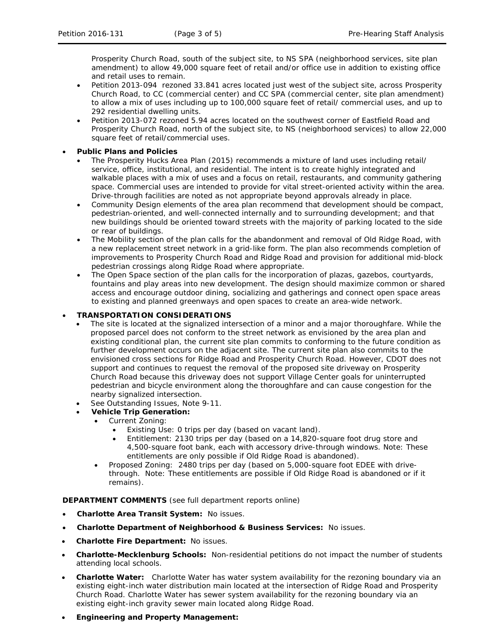Prosperity Church Road, south of the subject site, to NS SPA (neighborhood services, site plan amendment) to allow 49,000 square feet of retail and/or office use in addition to existing office and retail uses to remain.

- Petition 2013-094 rezoned 33.841 acres located just west of the subject site, across Prosperity Church Road, to CC (commercial center) and CC SPA (commercial center, site plan amendment) to allow a mix of uses including up to 100,000 square feet of retail/ commercial uses, and up to 292 residential dwelling units.
- Petition 2013-072 rezoned 5.94 acres located on the southwest corner of Eastfield Road and Prosperity Church Road, north of the subject site, to NS (neighborhood services) to allow 22,000 square feet of retail/commercial uses.
- **Public Plans and Policies**
	- The *Prosperity Hucks Area Plan* (2015) recommends a mixture of land uses including retail/ service, office, institutional, and residential. The intent is to create highly integrated and walkable places with a mix of uses and a focus on retail, restaurants, and community gathering space. Commercial uses are intended to provide for vital street-oriented activity within the area. Drive-through facilities are noted as not appropriate beyond approvals already in place.
	- Community Design elements of the area plan recommend that development should be compact, pedestrian-oriented, and well-connected internally and to surrounding development; and that new buildings should be oriented toward streets with the majority of parking located to the side or rear of buildings.
	- The Mobility section of the plan calls for the abandonment and removal of Old Ridge Road, with a new replacement street network in a grid-like form. The plan also recommends completion of improvements to Prosperity Church Road and Ridge Road and provision for additional mid-block pedestrian crossings along Ridge Road where appropriate.
	- The Open Space section of the plan calls for the incorporation of plazas, gazebos, courtyards, fountains and play areas into new development. The design should maximize common or shared access and encourage outdoor dining, socializing and gatherings and connect open space areas to existing and planned greenways and open spaces to create an area-wide network.

# • **TRANSPORTATION CONSIDERATIONS**

- The site is located at the signalized intersection of a minor and a major thoroughfare. While the proposed parcel does not conform to the street network as envisioned by the area plan and existing conditional plan, the current site plan commits to conforming to the future condition as further development occurs on the adjacent site. The current site plan also commits to the envisioned cross sections for Ridge Road and Prosperity Church Road. However, CDOT does not support and continues to request the removal of the proposed site driveway on Prosperity Church Road because this driveway does not support Village Center goals for uninterrupted pedestrian and bicycle environment along the thoroughfare and can cause congestion for the nearby signalized intersection.
- See Outstanding Issues, Note 9-11.
	- **Vehicle Trip Generation:**
		- Current Zoning:
			- Existing Use: 0 trips per day (based on vacant land).
			- Entitlement: 2130 trips per day (based on a 14,820-square foot drug store and 4,500-square foot bank, each with accessory drive-through windows. Note: These entitlements are only possible if Old Ridge Road is abandoned).
		- Proposed Zoning: 2480 trips per day (based on 5,000-square foot EDEE with drivethrough. Note: These entitlements are possible if Old Ridge Road is abandoned or if it remains).

**DEPARTMENT COMMENTS** (see full department reports online)

- **Charlotte Area Transit System:** No issues.
- **Charlotte Department of Neighborhood & Business Services:** No issues.
- **Charlotte Fire Department:** No issues.
- **Charlotte-Mecklenburg Schools:** Non-residential petitions do not impact the number of students attending local schools.
- **Charlotte Water:** Charlotte Water has water system availability for the rezoning boundary via an existing eight-inch water distribution main located at the intersection of Ridge Road and Prosperity Church Road. Charlotte Water has sewer system availability for the rezoning boundary via an existing eight-inch gravity sewer main located along Ridge Road.
- **Engineering and Property Management:**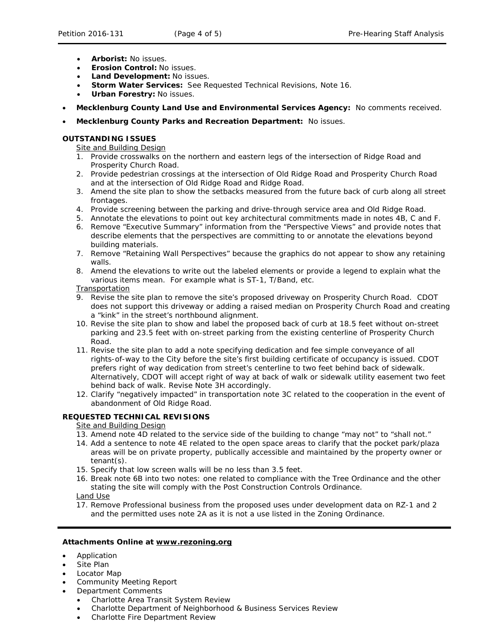- **Arborist:** No issues.
- **Erosion Control:** No issues.
- **Land Development:** No issues.
- **Storm Water Services:** See Requested Technical Revisions, Note 16.
- **Urban Forestry:** No issues.
- **Mecklenburg County Land Use and Environmental Services Agency:** No comments received.
- **Mecklenburg County Parks and Recreation Department:** No issues.

### **OUTSTANDING ISSUES**

Site and Building Design

- 1. Provide crosswalks on the northern and eastern legs of the intersection of Ridge Road and Prosperity Church Road.
- 2. Provide pedestrian crossings at the intersection of Old Ridge Road and Prosperity Church Road and at the intersection of Old Ridge Road and Ridge Road.
- 3. Amend the site plan to show the setbacks measured from the future back of curb along all street frontages.
- 4. Provide screening between the parking and drive-through service area and Old Ridge Road.
- 5. Annotate the elevations to point out key architectural commitments made in notes 4B, C and F.
- 6. Remove "Executive Summary" information from the "Perspective Views" and provide notes that describe elements that the perspectives are committing to or annotate the elevations beyond building materials.
- 7. Remove "Retaining Wall Perspectives" because the graphics do not appear to show any retaining walls.
- 8. Amend the elevations to write out the labeled elements or provide a legend to explain what the various items mean. For example what is ST-1, T/Band, etc.

#### Transportation

- 9. Revise the site plan to remove the site's proposed driveway on Prosperity Church Road. CDOT does not support this driveway or adding a raised median on Prosperity Church Road and creating a "kink" in the street's northbound alignment.
- 10. Revise the site plan to show and label the proposed back of curb at 18.5 feet without on-street parking and 23.5 feet with on-street parking from the existing centerline of Prosperity Church Road.
- 11. Revise the site plan to add a note specifying dedication and fee simple conveyance of all rights-of-way to the City before the site's first building certificate of occupancy is issued. CDOT prefers right of way dedication from street's centerline to two feet behind back of sidewalk. Alternatively, CDOT will accept right of way at back of walk or sidewalk utility easement two feet behind back of walk. Revise Note 3H accordingly.
- 12. Clarify "negatively impacted" in transportation note 3C related to the cooperation in the event of abandonment of Old Ridge Road.

## **REQUESTED TECHNICAL REVISIONS**

### Site and Building Design

- 13. Amend note 4D related to the service side of the building to change "may not" to "shall not."
- 14. Add a sentence to note 4E related to the open space areas to clarify that the pocket park/plaza areas will be on private property, publically accessible and maintained by the property owner or tenant(s).
- 15. Specify that low screen walls will be no less than 3.5 feet.
- 16. Break note 6B into two notes: one related to compliance with the Tree Ordinance and the other stating the site will comply with the Post Construction Controls Ordinance. Land Use

17. Remove Professional business from the proposed uses under development data on RZ-1 and 2 and the permitted uses note 2A as it is not a use listed in the Zoning Ordinance.

#### **Attachments Online at [www.rezoning.org](http://www.rezoning.org/)**

- Application
- Site Plan
- Locator Map
- Community Meeting Report
- Department Comments
	- Charlotte Area Transit System Review
	- Charlotte Department of Neighborhood & Business Services Review
	- Charlotte Fire Department Review